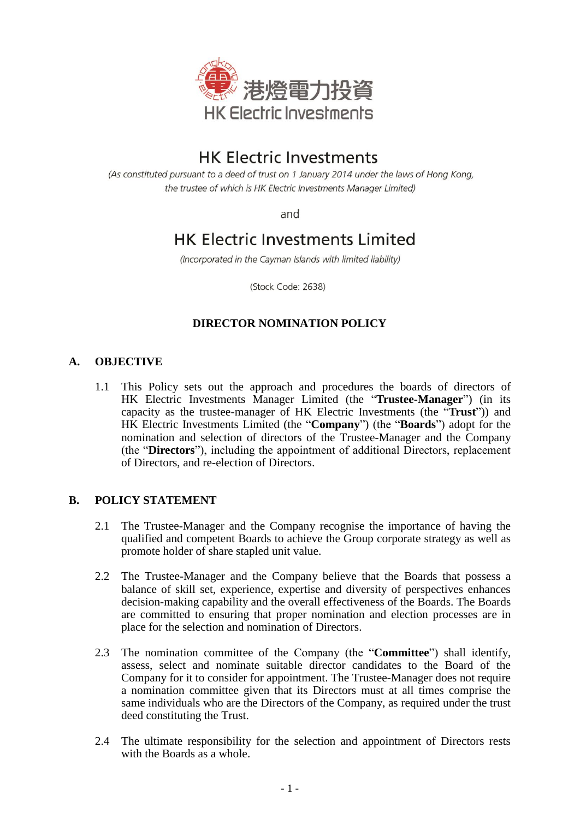

# **HK Electric Investments**

(As constituted pursuant to a deed of trust on 1 January 2014 under the laws of Hong Kong, the trustee of which is HK Electric Investments Manager Limited)

and

# **HK Electric Investments Limited**

(Incorporated in the Cayman Islands with limited liability)

(Stock Code: 2638)

## **DIRECTOR NOMINATION POLICY**

### **A. OBJECTIVE**

1.1 This Policy sets out the approach and procedures the boards of directors of HK Electric Investments Manager Limited (the "**Trustee-Manager**") (in its capacity as the trustee-manager of HK Electric Investments (the "**Trust**")) and HK Electric Investments Limited (the "**Company**") (the "**Boards**") adopt for the nomination and selection of directors of the Trustee-Manager and the Company (the "**Directors**"), including the appointment of additional Directors, replacement of Directors, and re-election of Directors.

#### **B. POLICY STATEMENT**

- 2.1 The Trustee-Manager and the Company recognise the importance of having the qualified and competent Boards to achieve the Group corporate strategy as well as promote holder of share stapled unit value.
- 2.2 The Trustee-Manager and the Company believe that the Boards that possess a balance of skill set, experience, expertise and diversity of perspectives enhances decision-making capability and the overall effectiveness of the Boards. The Boards are committed to ensuring that proper nomination and election processes are in place for the selection and nomination of Directors.
- 2.3 The nomination committee of the Company (the "**Committee**") shall identify, assess, select and nominate suitable director candidates to the Board of the Company for it to consider for appointment. The Trustee-Manager does not require a nomination committee given that its Directors must at all times comprise the same individuals who are the Directors of the Company, as required under the trust deed constituting the Trust.
- 2.4 The ultimate responsibility for the selection and appointment of Directors rests with the Boards as a whole.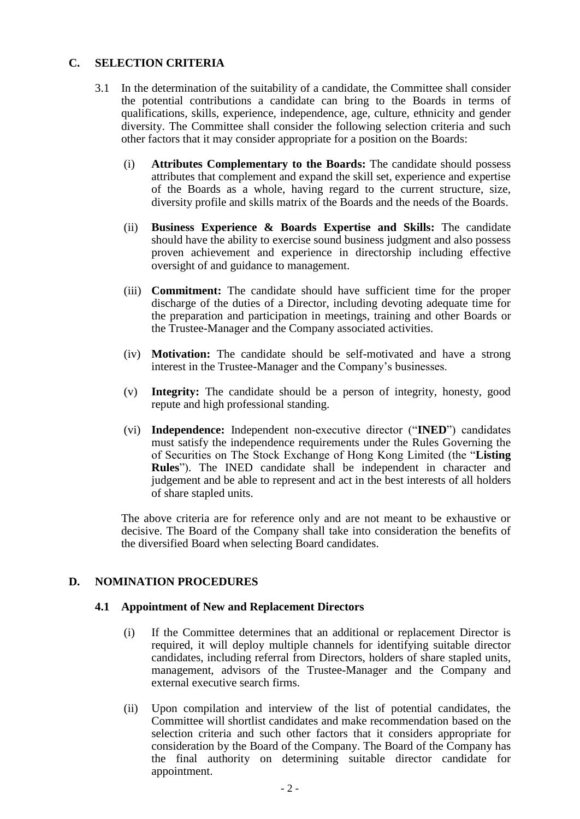### **C. SELECTION CRITERIA**

- 3.1 In the determination of the suitability of a candidate, the Committee shall consider the potential contributions a candidate can bring to the Boards in terms of qualifications, skills, experience, independence, age, culture, ethnicity and gender diversity. The Committee shall consider the following selection criteria and such other factors that it may consider appropriate for a position on the Boards:
	- (i) **Attributes Complementary to the Boards:** The candidate should possess attributes that complement and expand the skill set, experience and expertise of the Boards as a whole, having regard to the current structure, size, diversity profile and skills matrix of the Boards and the needs of the Boards.
	- (ii) **Business Experience & Boards Expertise and Skills:** The candidate should have the ability to exercise sound business judgment and also possess proven achievement and experience in directorship including effective oversight of and guidance to management.
	- (iii) **Commitment:** The candidate should have sufficient time for the proper discharge of the duties of a Director, including devoting adequate time for the preparation and participation in meetings, training and other Boards or the Trustee-Manager and the Company associated activities.
	- (iv) **Motivation:** The candidate should be self-motivated and have a strong interest in the Trustee-Manager and the Company's businesses.
	- (v) **Integrity:** The candidate should be a person of integrity, honesty, good repute and high professional standing.
	- (vi) **Independence:** Independent non-executive director ("**INED**") candidates must satisfy the independence requirements under the Rules Governing the of Securities on The Stock Exchange of Hong Kong Limited (the "**Listing Rules**"). The INED candidate shall be independent in character and judgement and be able to represent and act in the best interests of all holders of share stapled units.

The above criteria are for reference only and are not meant to be exhaustive or decisive. The Board of the Company shall take into consideration the benefits of the diversified Board when selecting Board candidates.

### **D. NOMINATION PROCEDURES**

#### **4.1 Appointment of New and Replacement Directors**

- (i) If the Committee determines that an additional or replacement Director is required, it will deploy multiple channels for identifying suitable director candidates, including referral from Directors, holders of share stapled units, management, advisors of the Trustee-Manager and the Company and external executive search firms.
- (ii) Upon compilation and interview of the list of potential candidates, the Committee will shortlist candidates and make recommendation based on the selection criteria and such other factors that it considers appropriate for consideration by the Board of the Company. The Board of the Company has the final authority on determining suitable director candidate for appointment.